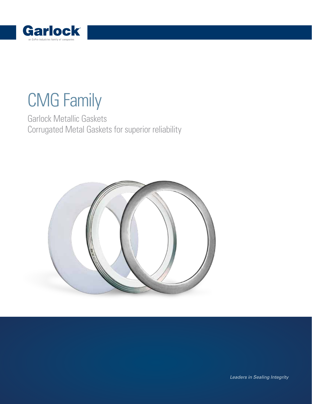

# CMG Family

Garlock Metallic Gaskets Corrugated Metal Gaskets for superior reliability



Leaders in Sealing Integrity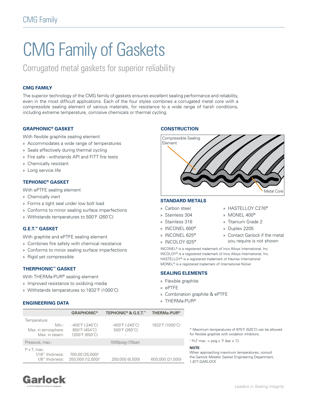# CMG Family of Gaskets

Corrugated metal gaskets for superior reliability

# **CMG FAMILY**

The superior technology of the CMG family of gaskets ensures excellent sealing performance and reliability, even in the most difficult applications. Each of the four styles combines a corrugated metal core with a compressible sealing element of various materials, for resistance to a wide range of harsh conditions, including extreme temperature, corrosive chemicals or thermal cycling.

# **GRAPHONIC® GASKET**

With flexible graphite sealing element

- » Accommodates a wide range of temperatures
- » Seals effectively during thermal cycling
- » Fire safe withstands API and FITT fire tests
- » Chemically resistant
- » Long service life

# **TEPHONIC® GASKET**

With ePTFE sealing element

- » Chemically inert
- » Forms a tight seal under low bolt load
- » Conforms to minor sealing surface imperfections
- » Withstands temperatures to 500˚F (260˚C)

# **G.E.T.™ GASKET**

With graphite and ePTFE sealing element

- » Combines fire safety with chemical resistance
- » Conforms to minor sealing surface imperfections
- » Rigid yet compressible

# **THERPHONIC™ GASKET**

- With THERMa-PUR® sealing element
- » Improved resistance to oxidizing media
- » Withstands temperatures to 1832˚F (1000˚C)

### **ENGINEERING DATA**

# **CONSTRUCTION**



### **STANDARD METALS**

#### » Carbon steel

- » Stainless 304
- » Stainless 316
- » INCONEL 600®
- » INCONEL 625®
- » INCOLOY 825®
- » HASTELLOY C276®
- » MONEL 400®
- » Titanium Grade 2
- » Duplex 2205
- » Contact Garlock if the metal you require is not shown

INCONEL® is a registered trademark of Inco Alloys International, Inc. INCOLOY® is a registered trademark of Inco Alloys International, Inc. HASTELLOY® is a registered trademark of Haynes International MONEL® is a registered trademark of International Nickel

#### **SEALING ELEMENTS**

- » Flexible graphite
- » ePTFE
- » Combination graphite & ePTFE
- » THERMa-PUR®

|                                       | <b>GRAPHONIC<sup>®</sup></b>                          | <b>TEPHONIC<sup>®</sup> &amp; G.E.T.™</b>             | <b>THERMa-PUR<sup>®</sup></b> |  |
|---------------------------------------|-------------------------------------------------------|-------------------------------------------------------|-------------------------------|--|
| Temperature:                          |                                                       |                                                       |                               |  |
| Min.:                                 | $-400^{\circ}$ F (-240 $^{\circ}$ C)<br>850°F (454°C) | $-400^{\circ}$ F (-240 $^{\circ}$ C)<br>500°F (260°C) | 1832°F (1000°C)               |  |
| Max. in atmosphere:<br>Max. in steam: | 1200°F (650°C)                                        | $\overline{\phantom{a}}$                              |                               |  |
| Pressure, max.:                       |                                                       | 1000psig (70bar)                                      |                               |  |
| $P \times T$ . max.                   |                                                       |                                                       |                               |  |
| 1/16" thickness:                      | 700,00 (25,000) <sup>†</sup>                          | $\overline{\phantom{a}}$                              |                               |  |
| 1/8" thickness:                       | 350,000 (12,000) <sup>†</sup>                         | 250,000 (8,500)                                       | 600,000 (21,500)              |  |

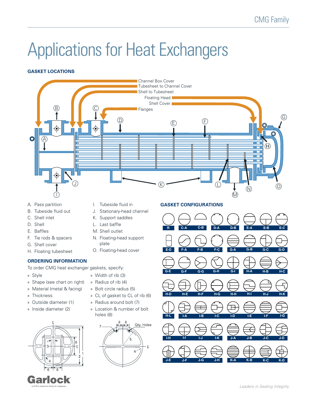# Applications for Heat Exchangers

# **GASKET LOCATIONS**



- 
- B. Tubeside fluid out
- C. Shell inlet
- D. Shell
- E. Baffles
- F. Tie rods & spacers
- G. Shell cover
- H. Floating tubesheet

# **ORDERING INFORMATION**

- To order CMG heat exchanger gaskets, specify:
- 
- » Shape (see chart on right)
- » Material (metal & facing)
- » Thickness
- 
- » Inside diameter (2)



- 
- J. Stationary-head channel
- K. Support saddles
- L. Last baffle
- M. Shell outlet

» Width of rib (3) » Radius of rib (4) » Bolt circle radius (5)

- N. Floating-head support plate
- O. Floating-head cover
- 
- » Style
- 
- 
- 
- » Outside diameter (1)
- 



» CL of gasket to CL of rib (6) » Radius around bolt (7) » Location & number of bolt